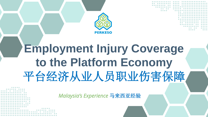

*Malaysia's Experience* 马来西亚经验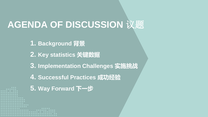# **AGENDA OF DISCUSSION** 议题

- **1. Background 背景**
- **2. Key statistics 关键数据**
- **3. Implementation Challenges 实施挑战**
- **4. Successful Practices 成功经验**
- **5. Way Forward 下一步**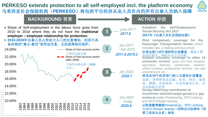### **PERKESO extends protection to all self-employed incl. the platform economy** 马来西亚社会保险机构(**PERKESO**)将包括平台经济从业人员在内的所有自雇人员纳入保障



### **BACKGROUND** 背景

1 2 3 4 *Jun 2017 - Feb 2019 Jun 2020 - Today 2020.6-* 10.00% 12.00% 14.00% 16.00% 18.00% 20.00% 22.00% 24.00% 1982 1984 1986 1988 1990 1993 1996 1998 2000 2002 2004 2006 2008 2010 2012 2014 2016 2018 Share of Own account worker Share of Own account worker (after 2009) Share of Self-employment in the labour force grew from 2010 to 2018 where they do not have the **traditional employer – employee relationship for protection. 2010-2018**年自雇人员占劳动力人口的比重增加,但因不具 备传统的**"**雇主**-**雇员**"**型劳动关系,无法获得相应保护。 个体劳动者比重 个体劳动者比重(2009 年后) *June 2017 2017.6 Jan 2020 2020.1 2017.6-2019.2*

### **ACTION** 举措

**Establish the Self-Employment Social Security Act 2017 2017**年《自雇人员社会保险法案》

**Pilot compulsory coverage for the Passenger Transportation Sector,** which includes taxi, e-hailing and bus driver 在客运部门试行强制性社保覆盖,覆盖人群 包括出租车、网约车及公交司机 **Expand voluntary coverage to other 19 economic sectors:** good and food transport, agriculture, fisheries, construction, hawkers, online business, professional services, arts and entertainment, etc

### 将其余**19**个经济部门纳入自愿性社保覆盖,

包括:货物和食品运输、农业、渔业、建筑 业、摊贩、在线商务、专业性服务行业、艺 术业和娱乐业等

**Design Matching contribution to** 

**incentivise selected target group (i.e. gig workers)** under PenjanaGig, SPS Lindung and SPS Prihatin Wanita

以配套缴费激励PenjanaGig、SPS Lindung 和SPS Prihatin Wanita下的特定目标群体(即 零工经济从业者)参保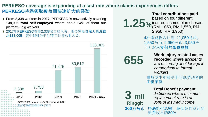### **PERKESO coverage is expanding at a fast rate where claims experiences differs PERKESO**待遇领取覆盖面快速扩大的经验

- ▶ From 2,338 workers in 2017, PERKESO is now actively covering **138,005 total self-employed** where about 54% of them are platform / gig workers.
- ▶ 2017年PERKESO覆盖2,338名自雇人员, 现今覆盖自雇人员总数 达**138,005**,其中54%为平台/零工经济从业人员。



**1.25% Total contributions paid**  based on four different insured income plan chosen (RM 1,050, RM 1,550, RM 2,950, RM 3,950) **3 mil Ringgit 300**万马币 **Total Benefit payment**  *disbursed where minimum replacement rate is at 80%.of insured income*  **655 Work Injury related cases**<br> *are occurring at older age in* **recorded** *where accidents comparison to formal workers*  4种缴费收入计划(1,050马币, 1,550马币, 2,950马币, 3,950马 币)对应支付的缴费总额 事故发生年龄高于正规劳动者的 工伤案例 待遇给付总额,最低替代率达到

缴费收入的80%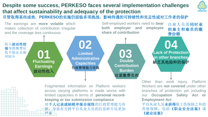#### **Despite some success, PERKESO faces several implementation challenges that affect sustainability and adequacy of the protection** 尽管取得某些成效,**PERKESO**的实施仍面临多项挑战,影响待遇的可持续性和充足性或对工作者的保护 The earnings are **more volatile** which makes collection of contribution irregular and the coverage less continuous Self-employed workers need to **bear both employer and employee share of contribution 01 02 03 Fluctuating Earnings** 波动性收入 **Limited Administrative Capacities** 行政管理能力有限 **Double Contribution Burden** 双重缴费负担 **04 Lack of Protection in other branches** 缺乏其他险种的保护 收入波动性较 强导致缴费征 收不稳定且相 对较少 自雇人员需同时承 担雇主和雇员的缴 费份额

Fragmented information on Platform workers across varying platforms is made worse with limited capacities in terms of **personal recordkeeping or tax submission compliance** 对个人记录或纳税申报合规性的行政管理能力有 限,导致有关跨平台从业人员的信息碎片化更加 严重

Other than work injury, Platform Workers are **not covered** under other branches of protection yet including our **Occupation Safety Act or Employment Act** 平台从业人员未获得除工伤保险之外的

其他保障,包括《职业安全法案》或 《就业法案》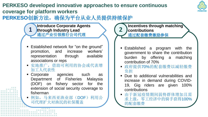### **PERKESO developed innovative approaches to ensure continuous coverage for platform workers PERKESO**创新方法,确保为平台从业人员提供持续保护

**Introduce Corporate Agents through Industry Lead**  通过产业引领推行公司代理 **1**

- Established network for "on the ground" promotion, and increase workers' representation through available associations or reps
- 实地推广,借助可利用的协会或代表增 加工人代表性
- Corporate agencies such as Department of Fisheries Malaysia (DOF) on fishery sector for the extension of social security coverage to fisherman
- 例如,马来西亚渔业部(DOF)利用公 司代理扩大对渔民的社保覆盖

**Incentives through matching contributions** 通过配套缴费激励参保

**2**

- **Established a program with the** government to share the contribution burden by offering a matching contribution of 70%
- 政府提供70%的配套缴费以减轻缴费 负担
- Due to additional vulnerabilities and increase in demand during COVID-19, Gig riders are given 100% contributions
- 由于新冠疫情期间弱势群体增加且需 求上涨,零工经济中的骑手获得100% 的配套缴费

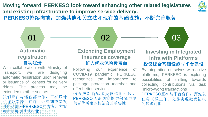**Moving forward, PERKESO look toward enhancing other related legislatures and existing infrastructure to improve service delivery.**  PERKESO持续向前,加强其他相关立法和现有的基础设施,不断完善服务



### **Automatic registration**  自动注册

Transport, we are designing automatic registration upon renewal or issuance of licenses for delivery riders. The process may be extended to other sectors 我们正在与运输部合作,正在设计 允许外卖骑手在许可证续期或签发 时自动加入PERKESO的方案。方案 :可也扩展到其他行业。

**Extending Employment Insurance coverage** 扩大就业保险覆盖面

Following our experience of COVID-19 pandemic, PERKESO recognizes the importance to package protection together and offer better services

结合应对新冠肺炎疫情的经验, PERKESO认识到将提供保障与提 供更优质服务相结合的重要性



### **Investing in Integrated Infra with Platforms** 投资综合基础设施与平台建设 With collaboration with Ministry of

By integrating ourselves with active platforms, PERKESO is exploring possibilities of shifting towards collecting contributions via task (micro-work) transactions PERKESO正在与平台合作, 探究以 任务(微工作)交易实现缴费征收

的转型可能